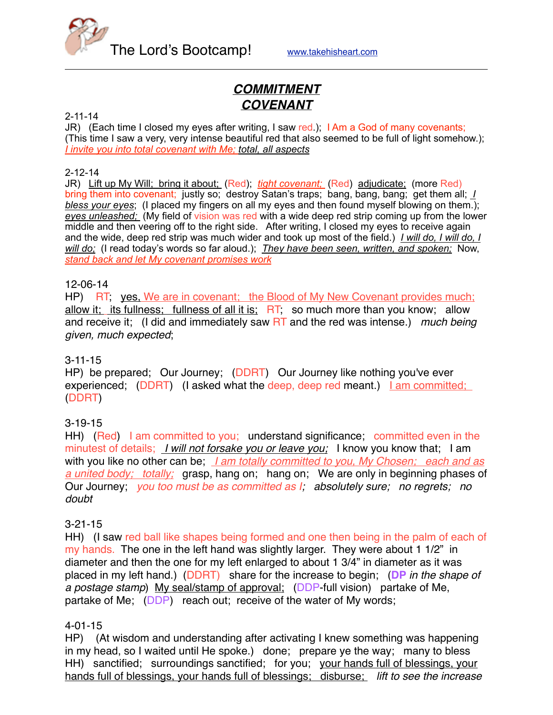

# *COMMITMENT COVENANT*

#### 2-11-14

JR) (Each time I closed my eyes after writing, I saw red.); I Am a God of many covenants; (This time I saw a very, very intense beautiful red that also seemed to be full of light somehow.); *I invite you into total covenant with Me; total, all aspects*

#### 2-12-14

JR) Lift up My Will; bring it about; (Red); *tight covenant;* (Red) adjudicate; (more Red) bring them into covenant; justly so; destroy Satan's traps; bang, bang, bang; get them all; *I bless your eyes*; (I placed my fingers on all my eyes and then found myself blowing on them.); *eyes unleashed;* (My field of vision was red with a wide deep red strip coming up from the lower middle and then veering off to the right side. After writing, I closed my eyes to receive again and the wide, deep red strip was much wider and took up most of the field.) *I will do, I will do, I will do;* (I read today's words so far aloud.); *They have been seen, written, and spoken;* Now, *stand back and let My covenant promises work*

### 12-06-14

HP) RT, yes, We are in covenant; the Blood of My New Covenant provides much; allow it; its fullness; fullness of all it is; RT; so much more than you know; allow and receive it; (I did and immediately saw RT and the red was intense.) *much being given, much expected*;

### 3-11-15

HP) be prepared; Our Journey; (DDRT) Our Journey like nothing you've ever experienced; (DDRT) (I asked what the deep, deep red meant.) Lam committed; (DDRT)

### 3-19-15

HH) (Red) I am committed to you; understand significance; committed even in the minutest of details; *I will not forsake you or leave you;* I know you know that; I am with you like no other can be; *I am totally committed to you, My Chosen; each and as a united body; totally;* grasp, hang on; hang on; We are only in beginning phases of Our Journey; *you too must be as committed as I; absolutely sure; no regrets; no doubt*

### 3-21-15

HH) (I saw red ball like shapes being formed and one then being in the palm of each of my hands. The one in the left hand was slightly larger. They were about 1 1/2" in diameter and then the one for my left enlarged to about 1 3/4" in diameter as it was placed in my left hand.) (DDRT) share for the increase to begin; (**DP** *in the shape of a postage stamp*) My seal/stamp of approval; (DDP-full vision) partake of Me, partake of Me; (DDP) reach out; receive of the water of My words;

### 4-01-15

HP) (At wisdom and understanding after activating I knew something was happening in my head, so I waited until He spoke.) done; prepare ye the way; many to bless HH) sanctified; surroundings sanctified; for you; your hands full of blessings, your hands full of blessings, your hands full of blessings; disburse; *lift to see the increase*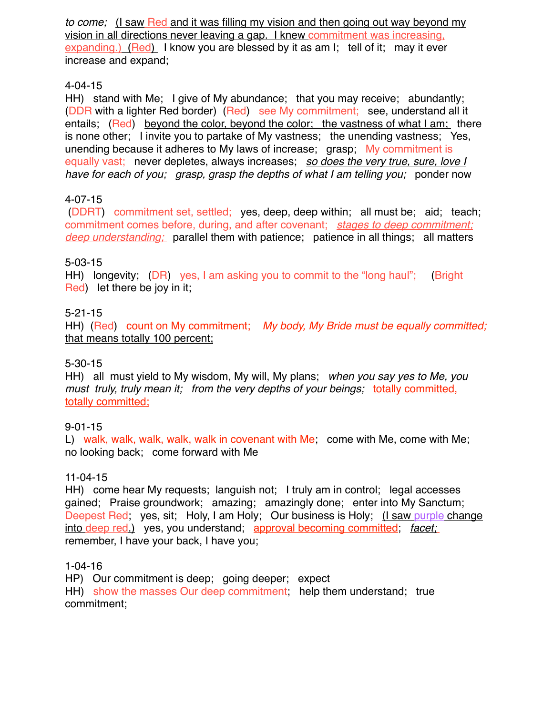*to come;* (I saw Red and it was filling my vision and then going out way beyond my vision in all directions never leaving a gap. I knew commitment was increasing, expanding.) (Red) I know you are blessed by it as am I; tell of it; may it ever increase and expand;

# 4-04-15

HH) stand with Me; I give of My abundance; that you may receive; abundantly; (DDR with a lighter Red border) (Red) see My commitment; see, understand all it entails; (Red) beyond the color, beyond the color; the vastness of what I am; there is none other; I invite you to partake of My vastness; the unending vastness; Yes, unending because it adheres to My laws of increase; grasp; My commitment is equally vast; never depletes, always increases; *so does the very true, sure, love I have for each of you; grasp, grasp the depths of what I am telling you; ponder now* 

# 4-07-15

 (DDRT) commitment set, settled; yes, deep, deep within; all must be; aid; teach; commitment comes before, during, and after covenant; *stages to deep commitment; deep understanding;* parallel them with patience; patience in all things; all matters

# 5-03-15

HH) longevity; (DR) yes, I am asking you to commit to the "long haul"; (Bright Red) let there be joy in it;

## 5-21-15

HH) (Red) count on My commitment; *My body, My Bride must be equally committed;*  that means totally 100 percent;

### 5-30-15

HH) all must yield to My wisdom, My will, My plans; *when you say yes to Me, you must truly, truly mean it; from the very depths of your beings;* totally committed, totally committed;

# 9-01-15

L) walk, walk, walk, walk, walk in covenant with Me; come with Me, come with Me; no looking back; come forward with Me

### 11-04-15

HH) come hear My requests; languish not; I truly am in control; legal accesses gained; Praise groundwork; amazing; amazingly done; enter into My Sanctum; Deepest Red; yes, sit; Holy, I am Holy; Our business is Holy; (I saw purple change into deep red.) yes, you understand; approval becoming committed; *facet;* remember, I have your back, I have you;

### 1-04-16

HP) Our commitment is deep; going deeper; expect HH) show the masses Our deep commitment; help them understand; true commitment;